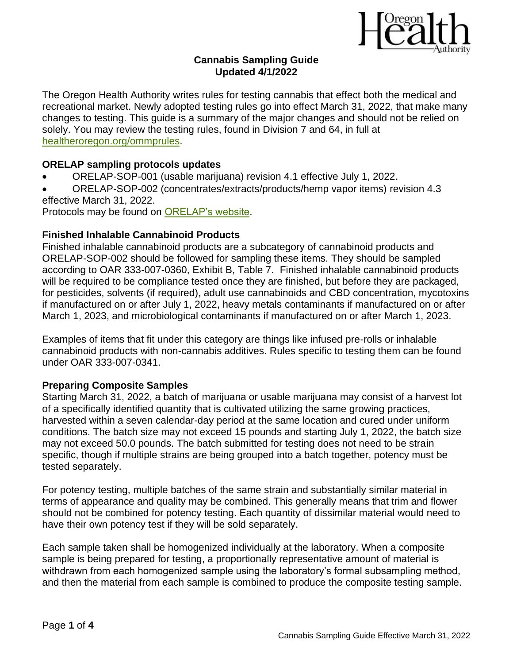

## **Cannabis Sampling Guide Updated 4/1/2022**

The Oregon Health Authority writes rules for testing cannabis that effect both the medical and recreational market. Newly adopted testing rules go into effect March 31, 2022, that make many changes to testing. This guide is a summary of the major changes and should not be relied on solely. You may review the testing rules, found in Division 7 and 64, in full at [healtheroregon.org/ommprules.](https://www.oregon.gov/oha/PH/DISEASESCONDITIONS/CHRONICDISEASE/MEDICALMARIJUANAPROGRAM/Pages/legal.aspx)

## **ORELAP sampling protocols updates**

- ORELAP-SOP-001 (usable marijuana) revision 4.1 effective July 1, 2022.
- ORELAP-SOP-002 (concentrates/extracts/products/hemp vapor items) revision 4.3 effective March 31, 2022.

Protocols may be found on [ORELAP's website.](https://www.oregon.gov/oha/PH/DISEASESCONDITIONS/CHRONICDISEASE/MEDICALMARIJUANAPROGRAM/Pages/laboratories.aspx)

### **Finished Inhalable Cannabinoid Products**

Finished inhalable cannabinoid products are a subcategory of cannabinoid products and ORELAP-SOP-002 should be followed for sampling these items. They should be sampled according to OAR 333-007-0360, Exhibit B, Table 7. Finished inhalable cannabinoid products will be required to be compliance tested once they are finished, but before they are packaged, for pesticides, solvents (if required), adult use cannabinoids and CBD concentration, mycotoxins if manufactured on or after July 1, 2022, heavy metals contaminants if manufactured on or after March 1, 2023, and microbiological contaminants if manufactured on or after March 1, 2023.

Examples of items that fit under this category are things like infused pre-rolls or inhalable cannabinoid products with non-cannabis additives. Rules specific to testing them can be found under OAR 333-007-0341.

### **Preparing Composite Samples**

Starting March 31, 2022, a batch of marijuana or usable marijuana may consist of a harvest lot of a specifically identified quantity that is cultivated utilizing the same growing practices, harvested within a seven calendar-day period at the same location and cured under uniform conditions. The batch size may not exceed 15 pounds and starting July 1, 2022, the batch size may not exceed 50.0 pounds. The batch submitted for testing does not need to be strain specific, though if multiple strains are being grouped into a batch together, potency must be tested separately.

For potency testing, multiple batches of the same strain and substantially similar material in terms of appearance and quality may be combined. This generally means that trim and flower should not be combined for potency testing. Each quantity of dissimilar material would need to have their own potency test if they will be sold separately.

Each sample taken shall be homogenized individually at the laboratory. When a composite sample is being prepared for testing, a proportionally representative amount of material is withdrawn from each homogenized sample using the laboratory's formal subsampling method, and then the material from each sample is combined to produce the composite testing sample.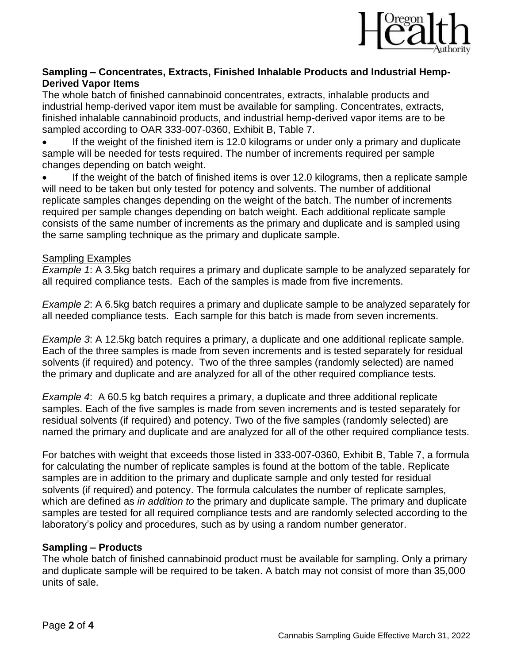

## **Sampling – Concentrates, Extracts, Finished Inhalable Products and Industrial Hemp-Derived Vapor Items**

The whole batch of finished cannabinoid concentrates, extracts, inhalable products and industrial hemp-derived vapor item must be available for sampling. Concentrates, extracts, finished inhalable cannabinoid products, and industrial hemp-derived vapor items are to be sampled according to OAR 333-007-0360, Exhibit B, Table 7.

If the weight of the finished item is 12.0 kilograms or under only a primary and duplicate sample will be needed for tests required. The number of increments required per sample changes depending on batch weight.

If the weight of the batch of finished items is over 12.0 kilograms, then a replicate sample will need to be taken but only tested for potency and solvents. The number of additional replicate samples changes depending on the weight of the batch. The number of increments required per sample changes depending on batch weight. Each additional replicate sample consists of the same number of increments as the primary and duplicate and is sampled using the same sampling technique as the primary and duplicate sample.

#### Sampling Examples

*Example 1*: A 3.5kg batch requires a primary and duplicate sample to be analyzed separately for all required compliance tests. Each of the samples is made from five increments.

*Example 2*: A 6.5kg batch requires a primary and duplicate sample to be analyzed separately for all needed compliance tests. Each sample for this batch is made from seven increments.

*Example 3*: A 12.5kg batch requires a primary, a duplicate and one additional replicate sample. Each of the three samples is made from seven increments and is tested separately for residual solvents (if required) and potency. Two of the three samples (randomly selected) are named the primary and duplicate and are analyzed for all of the other required compliance tests.

*Example 4*: A 60.5 kg batch requires a primary, a duplicate and three additional replicate samples. Each of the five samples is made from seven increments and is tested separately for residual solvents (if required) and potency. Two of the five samples (randomly selected) are named the primary and duplicate and are analyzed for all of the other required compliance tests.

For batches with weight that exceeds those listed in 333-007-0360, Exhibit B, Table 7, a formula for calculating the number of replicate samples is found at the bottom of the table. Replicate samples are in addition to the primary and duplicate sample and only tested for residual solvents (if required) and potency. The formula calculates the number of replicate samples, which are defined as *in addition to* the primary and duplicate sample. The primary and duplicate samples are tested for all required compliance tests and are randomly selected according to the laboratory's policy and procedures, such as by using a random number generator.

### **Sampling – Products**

The whole batch of finished cannabinoid product must be available for sampling. Only a primary and duplicate sample will be required to be taken. A batch may not consist of more than 35,000 units of sale.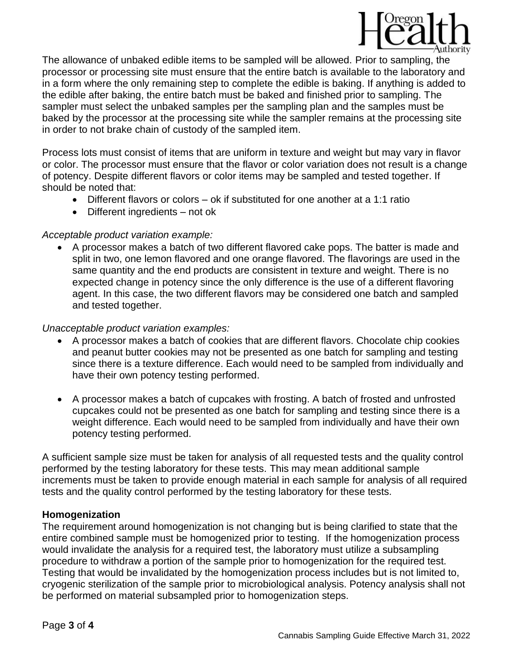

The allowance of unbaked edible items to be sampled will be allowed. Prior to sampling, the processor or processing site must ensure that the entire batch is available to the laboratory and in a form where the only remaining step to complete the edible is baking. If anything is added to the edible after baking, the entire batch must be baked and finished prior to sampling. The sampler must select the unbaked samples per the sampling plan and the samples must be baked by the processor at the processing site while the sampler remains at the processing site in order to not brake chain of custody of the sampled item.

Process lots must consist of items that are uniform in texture and weight but may vary in flavor or color. The processor must ensure that the flavor or color variation does not result is a change of potency. Despite different flavors or color items may be sampled and tested together. If should be noted that:

- Different flavors or colors ok if substituted for one another at a 1:1 ratio
- Different ingredients not ok

## *Acceptable product variation example:*

• A processor makes a batch of two different flavored cake pops. The batter is made and split in two, one lemon flavored and one orange flavored. The flavorings are used in the same quantity and the end products are consistent in texture and weight. There is no expected change in potency since the only difference is the use of a different flavoring agent. In this case, the two different flavors may be considered one batch and sampled and tested together.

## *Unacceptable product variation examples:*

- A processor makes a batch of cookies that are different flavors. Chocolate chip cookies and peanut butter cookies may not be presented as one batch for sampling and testing since there is a texture difference. Each would need to be sampled from individually and have their own potency testing performed.
- A processor makes a batch of cupcakes with frosting. A batch of frosted and unfrosted cupcakes could not be presented as one batch for sampling and testing since there is a weight difference. Each would need to be sampled from individually and have their own potency testing performed.

A sufficient sample size must be taken for analysis of all requested tests and the quality control performed by the testing laboratory for these tests. This may mean additional sample increments must be taken to provide enough material in each sample for analysis of all required tests and the quality control performed by the testing laboratory for these tests.

### **Homogenization**

The requirement around homogenization is not changing but is being clarified to state that the entire combined sample must be homogenized prior to testing. If the homogenization process would invalidate the analysis for a required test, the laboratory must utilize a subsampling procedure to withdraw a portion of the sample prior to homogenization for the required test. Testing that would be invalidated by the homogenization process includes but is not limited to, cryogenic sterilization of the sample prior to microbiological analysis. Potency analysis shall not be performed on material subsampled prior to homogenization steps.